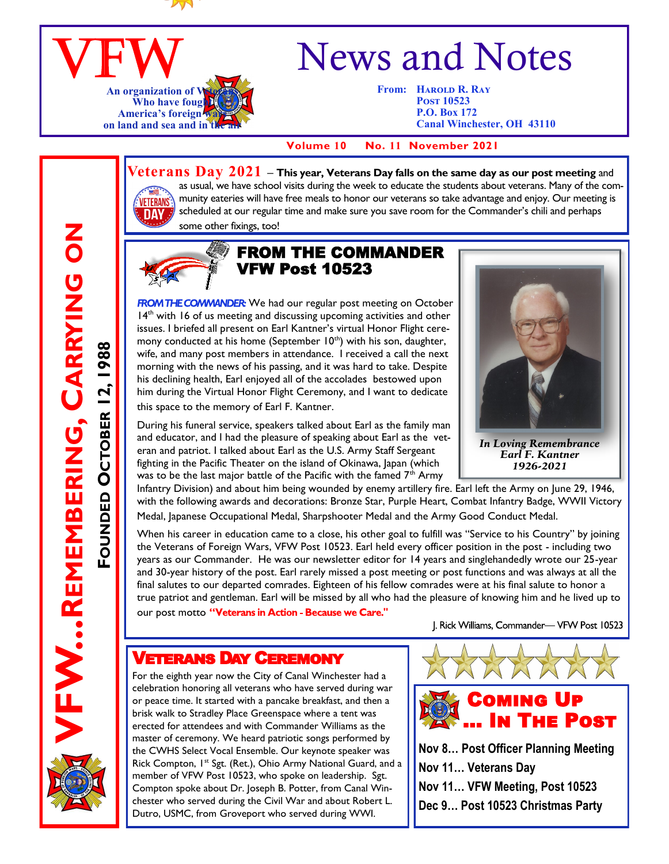

### VFW **An organization of Who have fought** America's foreign **on land and sea and in the air of an**

# News and Notes

**From: HAROLD R. RAY Post 10523 P.O. Box 172 Canal Winchester, OH 43110**

 **Volume 10 No. 11 November 2021**

## **VETERANS DA**

**FW...REMEMBERING, CARRYING ON** 

**REMEMBERING, CARRYING ON**

FOUNDED OCTOBER 12, 1988

**OCTOBER 12, 1988**

**Veterans Day 2021 – This year, Veterans Day falls on the same day as our post meeting** and as usual, we have school visits during the week to educate the students about veterans. Many of the community eateries will have free meals to honor our veterans so take advantage and enjoy. Our meeting is scheduled at our regular time and make sure you save room for the Commander's chili and perhaps some other fixings, too!



#### FROM THE COMMANDER VFW Post 10523

ROM THE COMMANDER: We had our regular post meeting on October  $14<sup>th</sup>$  with 16 of us meeting and discussing upcoming activities and other issues. I briefed all present on Earl Kantner's virtual Honor Flight ceremony conducted at his home (September 10<sup>th</sup>) with his son, daughter, wife, and many post members in attendance. I received a call the next morning with the news of his passing, and it was hard to take. Despite his declining health, Earl enjoyed all of the accolades bestowed upon him during the Virtual Honor Flight Ceremony, and I want to dedicate this space to the memory of Earl F. Kantner.

During his funeral service, speakers talked about Earl as the family man and educator, and I had the pleasure of speaking about Earl as the veteran and patriot. I talked about Earl as the U.S. Army Staff Sergeant fighting in the Pacific Theater on the island of Okinawa, Japan (which was to be the last major battle of the Pacific with the famed  $7<sup>th</sup>$  Army



*In Loving Remembrance Earl F. Kantner 1926-2021*

Infantry Division) and about him being wounded by enemy artillery fire. Earl left the Army on June 29, 1946, with the following awards and decorations: Bronze Star, Purple Heart, Combat Infantry Badge, WWII Victory Medal, Japanese Occupational Medal, Sharpshooter Medal and the Army Good Conduct Medal.

When his career in education came to a close, his other goal to fulfill was "Service to his Country" by joining the Veterans of Foreign Wars, VFW Post 10523. Earl held every officer position in the post - including two years as our Commander. He was our newsletter editor for 14 years and singlehandedly wrote our 25-year and 30-year history of the post. Earl rarely missed a post meeting or post functions and was always at all the final salutes to our departed comrades. Eighteen of his fellow comrades were at his final salute to honor a true patriot and gentleman. Earl will be missed by all who had the pleasure of knowing him and he lived up to

our post motto "Veterans in Action - Because we Care."

J. Rick Williams, Commander- VFW Post 10523

#### Veterans Day Ceremony

For the eighth year now the City of Canal Winchester had a celebration honoring all veterans who have served during war or peace time. It started with a pancake breakfast, and then a brisk walk to Stradley Place Greenspace where a tent was erected for attendees and with Commander Williams as the master of ceremony. We heard patriotic songs performed by the CWHS Select Vocal Ensemble. Our keynote speaker was Rick Compton, I<sup>st</sup> Sgt. (Ret.), Ohio Army National Guard, and a member of VFW Post 10523, who spoke on leadership. Sgt. Compton spoke about Dr. Joseph B. Potter, from Canal Winchester who served during the Civil War and about Robert L. Dutro, USMC, from Groveport who served during WWI.



**Nov 8… Post Officer Planning Meeting Nov 11… Veterans Day Nov 11… VFW Meeting, Post 10523 Dec 9… Post 10523 Christmas Party**